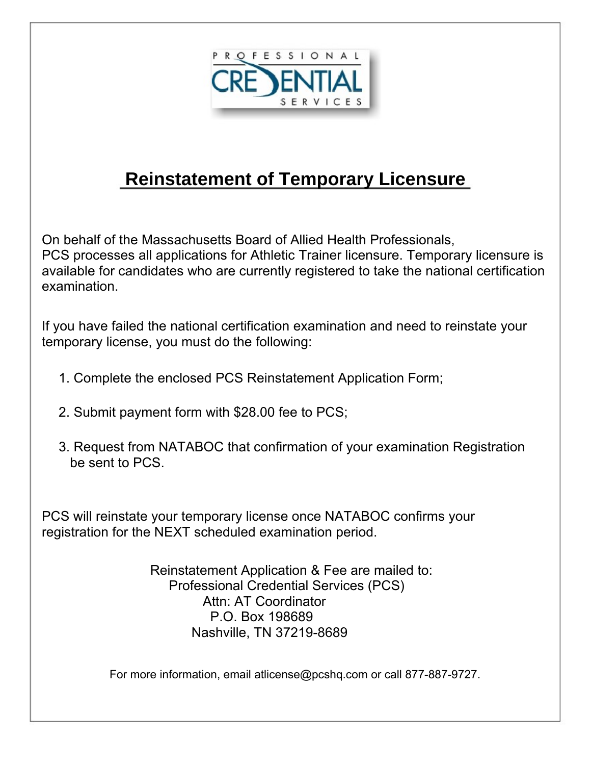

## **Reinstatement of Temporary Licensure**

On behalf of the Massachusetts Board of Allied Health Professionals, PCS processes all applications for Athletic Trainer licensure. Temporary licensure is available for candidates who are currently registered to take the national certification examination.

If you have failed the national certification examination and need to reinstate your temporary license, you must do the following:

- 1. Complete the enclosed PCS Reinstatement Application Form;
- 2. Submit payment form with \$28.00 fee to PCS;
- 3. Request from NATABOC that confirmation of your examination Registration be sent to PCS.

PCS will reinstate your temporary license once NATABOC confirms your registration for the NEXT scheduled examination period.

> Reinstatement Application & Fee are mailed to: Professional Credential Services (PCS) Attn: AT Coordinator P.O. Box 198689 Nashville, TN 37219-8689

For more information, email atlicense@pcshq.com or call 877-887-9727.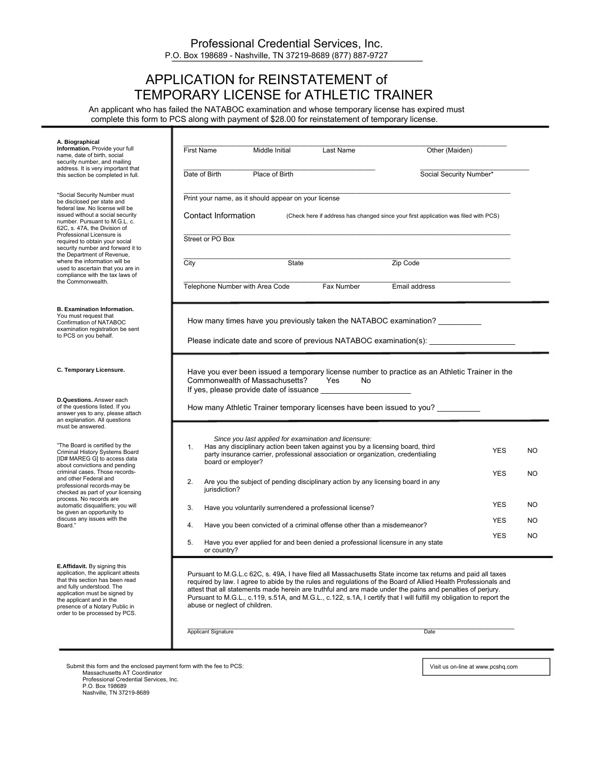## APPLICATION for REINSTATEMENT of TEMPORARY LICENSE for ATHLETIC TRAINER

An applicant who has failed the NATABOC examination and whose temporary license has expired must complete this form to PCS along with payment of \$28.00 for reinstatement of temporary license.

| A. Biographical<br>Information. Provide your full<br>name, date of birth, social<br>security number, and mailing                                                                                                                                                                                                                                                                                         | <b>First Name</b>                                                                                                                                                                         | Middle Initial                                                                                                                                                                                                              | Last Name  | Other (Maiden)                                                                                                                                                                                                                                                                                                                                                                                                                                                      |            |           |  |  |
|----------------------------------------------------------------------------------------------------------------------------------------------------------------------------------------------------------------------------------------------------------------------------------------------------------------------------------------------------------------------------------------------------------|-------------------------------------------------------------------------------------------------------------------------------------------------------------------------------------------|-----------------------------------------------------------------------------------------------------------------------------------------------------------------------------------------------------------------------------|------------|---------------------------------------------------------------------------------------------------------------------------------------------------------------------------------------------------------------------------------------------------------------------------------------------------------------------------------------------------------------------------------------------------------------------------------------------------------------------|------------|-----------|--|--|
| address. It is very important that<br>this section be completed in full.                                                                                                                                                                                                                                                                                                                                 | Date of Birth                                                                                                                                                                             | Social Security Number*<br>Place of Birth                                                                                                                                                                                   |            |                                                                                                                                                                                                                                                                                                                                                                                                                                                                     |            |           |  |  |
| *Social Security Number must<br>be disclosed per state and                                                                                                                                                                                                                                                                                                                                               | Print your name, as it should appear on your license                                                                                                                                      |                                                                                                                                                                                                                             |            |                                                                                                                                                                                                                                                                                                                                                                                                                                                                     |            |           |  |  |
| federal law. No license will be<br>issued without a social security<br>number. Pursuant to M.G.L. c.<br>62C, s. 47A, the Division of                                                                                                                                                                                                                                                                     | Contact Information<br>(Check here if address has changed since your first application was filed with PCS)                                                                                |                                                                                                                                                                                                                             |            |                                                                                                                                                                                                                                                                                                                                                                                                                                                                     |            |           |  |  |
| Professional Licensure is<br>required to obtain your social<br>security number and forward it to                                                                                                                                                                                                                                                                                                         | Street or PO Box                                                                                                                                                                          |                                                                                                                                                                                                                             |            |                                                                                                                                                                                                                                                                                                                                                                                                                                                                     |            |           |  |  |
| the Department of Revenue,<br>where the information will be<br>used to ascertain that you are in<br>compliance with the tax laws of<br>the Commonwealth.                                                                                                                                                                                                                                                 | City                                                                                                                                                                                      | <b>State</b>                                                                                                                                                                                                                |            | Zip Code                                                                                                                                                                                                                                                                                                                                                                                                                                                            |            |           |  |  |
|                                                                                                                                                                                                                                                                                                                                                                                                          | Telephone Number with Area Code                                                                                                                                                           |                                                                                                                                                                                                                             | Fax Number | Email address                                                                                                                                                                                                                                                                                                                                                                                                                                                       |            |           |  |  |
| <b>B. Examination Information.</b><br>You must request that<br>Confirmation of NATABOC<br>examination registration be sent                                                                                                                                                                                                                                                                               |                                                                                                                                                                                           |                                                                                                                                                                                                                             |            | How many times have you previously taken the NATABOC examination?                                                                                                                                                                                                                                                                                                                                                                                                   |            |           |  |  |
| to PCS on you behalf.                                                                                                                                                                                                                                                                                                                                                                                    | Please indicate date and score of previous NATABOC examination(s):                                                                                                                        |                                                                                                                                                                                                                             |            |                                                                                                                                                                                                                                                                                                                                                                                                                                                                     |            |           |  |  |
| C. Temporary Licensure.                                                                                                                                                                                                                                                                                                                                                                                  | Have you ever been issued a temporary license number to practice as an Athletic Trainer in the<br>Commonwealth of Massachusetts?<br>Yes<br>No.<br>If yes, please provide date of issuance |                                                                                                                                                                                                                             |            |                                                                                                                                                                                                                                                                                                                                                                                                                                                                     |            |           |  |  |
| D.Questions. Answer each<br>of the questions listed. If you<br>answer yes to any, please attach<br>an explanation. All questions<br>must be answered.                                                                                                                                                                                                                                                    |                                                                                                                                                                                           |                                                                                                                                                                                                                             |            | How many Athletic Trainer temporary licenses have been issued to you?                                                                                                                                                                                                                                                                                                                                                                                               |            |           |  |  |
| "The Board is certified by the<br>Criminal History Systems Board<br>[ID# MAREG G] to access data<br>about convictions and pending<br>criminal cases. Those records-<br>and other Federal and<br>professional records-may be<br>checked as part of your licensing<br>process. No records are<br>automatic disqualifiers; you will<br>be given an opportunity to<br>discuss any issues with the<br>Board." | 1.<br>board or employer?                                                                                                                                                                  | Since you last applied for examination and licensure:<br>Has any disciplinary action been taken against you by a licensing board, third<br>party insurance carrier, professional association or organization, credentialing |            |                                                                                                                                                                                                                                                                                                                                                                                                                                                                     | <b>YES</b> | <b>NO</b> |  |  |
|                                                                                                                                                                                                                                                                                                                                                                                                          | 2.<br>jurisdiction?                                                                                                                                                                       | Are you the subject of pending disciplinary action by any licensing board in any                                                                                                                                            |            |                                                                                                                                                                                                                                                                                                                                                                                                                                                                     | <b>YES</b> | NO.       |  |  |
|                                                                                                                                                                                                                                                                                                                                                                                                          | 3.                                                                                                                                                                                        | Have you voluntarily surrendered a professional license?                                                                                                                                                                    |            |                                                                                                                                                                                                                                                                                                                                                                                                                                                                     | <b>YES</b> | <b>NO</b> |  |  |
|                                                                                                                                                                                                                                                                                                                                                                                                          | 4.                                                                                                                                                                                        | Have you been convicted of a criminal offense other than a misdemeanor?                                                                                                                                                     |            |                                                                                                                                                                                                                                                                                                                                                                                                                                                                     | <b>YES</b> | NO        |  |  |
|                                                                                                                                                                                                                                                                                                                                                                                                          | 5.<br>or country?                                                                                                                                                                         | Have you ever applied for and been denied a professional licensure in any state                                                                                                                                             |            |                                                                                                                                                                                                                                                                                                                                                                                                                                                                     | <b>YES</b> | NO.       |  |  |
| <b>E.Affidavit.</b> By signing this<br>application, the applicant attests<br>that this section has been read<br>and fully understood. The<br>application must be signed by<br>the applicant and in the<br>presence of a Notary Public in<br>order to be processed by PCS.                                                                                                                                | abuse or neglect of children.                                                                                                                                                             |                                                                                                                                                                                                                             |            | Pursuant to M.G.L.c 62C, s. 49A, I have filed all Massachusetts State income tax returns and paid all taxes<br>required by law. I agree to abide by the rules and regulations of the Board of Allied Health Professionals and<br>attest that all statements made herein are truthful and are made under the pains and penalties of perjury.<br>Pursuant to M.G.L., c.119, s.51A, and M.G.L., c.122, s.1A, I certify that I will fulfill my obligation to report the |            |           |  |  |

| Applicant Signature<br>----- <i>-</i><br>$\sim$ | Date |
|-------------------------------------------------|------|

Submit this form and the enclosed payment form with the fee to PCS: Massachusetts AT Coordinator Professional Credential Services, Inc. P.O. Box 198689 Nashville, TN 37219-8689

Visit us on-line at www.pcshq.com